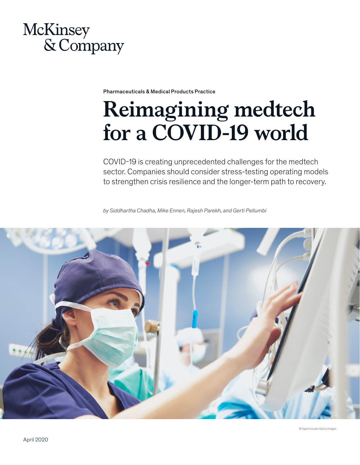

Pharmaceuticals & Medical Products Practice

# **Reimagining medtech for a COVID-19 world**

COVID-19 is creating unprecedented challenges for the medtech sector. Companies should consider stress-testing operating models to strengthen crisis resilience and the longer-term path to recovery.

*by Siddhartha Chadha, Mike Ennen, Rajesh Parekh, and Gerti Pellumbi*

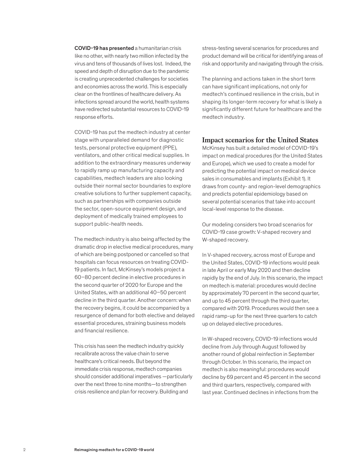COVID-19 has presented a humanitarian crisis like no other, with nearly two million infected by the virus and tens of thousands of lives lost. Indeed, the speed and depth of disruption due to the pandemic is creating unprecedented challenges for societies and economies across the world. This is especially clear on the frontlines of healthcare delivery. As infections spread around the world, health systems have redirected substantial resources to COVID-19 response efforts.

COVID-19 has put the medtech industry at center stage with unparalleled demand for diagnostic tests, personal protective equipment (PPE), ventilators, and other critical medical supplies. In addition to the extraordinary measures underway to rapidly ramp up manufacturing capacity and capabilities, medtech leaders are also looking outside their normal sector boundaries to explore creative solutions to further supplement capacity, such as partnerships with companies outside the sector, open-source equipment design, and deployment of medically trained employees to support public-health needs.

The medtech industry is also being affected by the dramatic drop in elective medical procedures, many of which are being postponed or cancelled so that hospitals can focus resources on treating COVID-19 patients. In fact, McKinsey's models project a 60–80 percent decline in elective procedures in the second quarter of 2020 for Europe and the United States, with an additional 40–50 percent decline in the third quarter. Another concern: when the recovery begins, it could be accompanied by a resurgence of demand for both elective and delayed essential procedures, straining business models and financial resilience.

This crisis has seen the medtech industry quickly recalibrate across the value chain to serve healthcare's critical needs. But beyond the immediate crisis response, medtech companies should consider additional imperatives —particularly over the next three to nine months—to strengthen crisis resilience and plan for recovery. Building and

stress-testing several scenarios for procedures and product demand will be critical for identifying areas of risk and opportunity and navigating through the crisis.

The planning and actions taken in the short term can have significant implications, not only for medtech's continued resilience in the crisis, but in shaping its longer-term recovery for what is likely a significantly different future for healthcare and the medtech industry.

## **Impact scenarios for the United States**

McKinsey has built a detailed model of COVID-19's impact on medical procedures (for the United States and Europe), which we used to create a model for predicting the potential impact on medical device sales in consumables and implants (Exhibit 1). It draws from county- and region-level demographics and predicts potential epidemiology based on several potential scenarios that take into account local-level response to the disease.

Our modeling considers two broad scenarios for COVID-19 case growth: V-shaped recovery and W-shaped recovery.

In V-shaped recovery, across most of Europe and the United States, COVID-19 infections would peak in late April or early May 2020 and then decline rapidly by the end of July. In this scenario, the impact on medtech is material: procedures would decline by approximately 70 percent in the second quarter, and up to 45 percent through the third quarter, compared with 2019. Procedures would then see a rapid ramp-up for the next three quarters to catch up on delayed elective procedures.

In W-shaped recovery, COVID-19 infections would decline from July through August followed by another round of global reinfection in September through October. In this scenario, the impact on medtech is also meaningful: procedures would decline by 69 percent and 45 percent in the second and third quarters, respectively, compared with last year. Continued declines in infections from the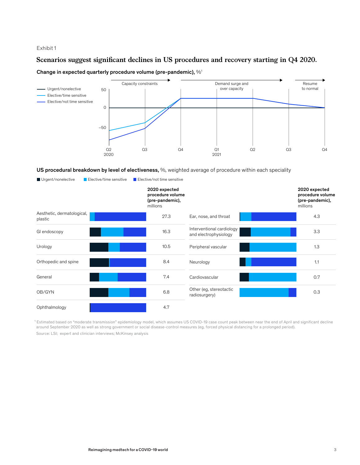## Exhibit 1

## Scenarios suggest significant declines in US procedures and recovery starting in Q4 2020.

## Change in expected quarterly procedure volume (pre-pandemic),  $\%$ <sup>1</sup>



#### US procedural breakdown by level of electiveness, %, weighted average of procedure within each speciality

| Urgent/nonelective                    | Elective/time sensitive | Elective/not time sensitive                                      |                                                    |                                                                  |
|---------------------------------------|-------------------------|------------------------------------------------------------------|----------------------------------------------------|------------------------------------------------------------------|
|                                       |                         | 2020 expected<br>procedure volume<br>(pre-pandemic),<br>millions |                                                    | 2020 expected<br>procedure volume<br>(pre-pandemic),<br>millions |
| Aesthetic, dermatological,<br>plastic |                         | 27.3                                                             | Ear, nose, and throat                              | 4.3                                                              |
| GI endoscopy                          |                         | 16.3                                                             | Interventional cardiology<br>and electrophysiology | 3.3                                                              |
| Urology                               |                         | 10.5                                                             | Peripheral vascular                                | 1.3                                                              |
| Orthopedic and spine                  |                         | 8.4                                                              | Neurology                                          | 1.1                                                              |
| General                               |                         | 7.4                                                              | Cardiovascular                                     | 0.7                                                              |
| OB/GYN                                |                         | 6.8                                                              | Other (eg, stereotactic<br>radiosurgery)           | 0.3                                                              |
| Ophthalmology                         |                         | 4.7                                                              |                                                    |                                                                  |

<sup>1</sup> Estimated based on "moderate transmission" epidemiology model, which assumes US COVID-19 case count peak between near the end of April and significant decline around September 2020 as well as strong government or social disease-control measures (eg, forced physical distancing for a prolonged period). Source: LSI; expert and clinician interviews; McKinsey analysis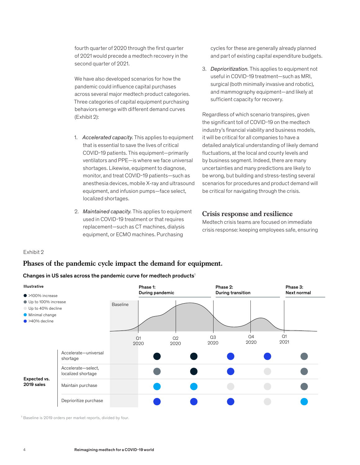fourth quarter of 2020 through the first quarter of 2021 would precede a medtech recovery in the second quarter of 2021.

We have also developed scenarios for how the pandemic could influence capital purchases across several major medtech product categories. Three categories of capital equipment purchasing behaviors emerge with different demand curves (Exhibit 2):

- 1. *Accelerated capacity.* This applies to equipment that is essential to save the lives of critical COVID-19 patients. This equipment—primarily ventilators and PPE—is where we face universal shortages. Likewise, equipment to diagnose, monitor, and treat COVID-19 patients—such as anesthesia devices, mobile X-ray and ultrasound equipment, and infusion pumps—face select, localized shortages.
- 2. *Maintained capacity.* This applies to equipment used in COVID-19 treatment or that requires replacement—such as CT machines, dialysis equipment, or ECMO machines. Purchasing  $\mathsf{F}$  in  $\mathsf{F}$  is missing.

cycles for these are generally already planned and part of existing capital expenditure budgets.

3. *Deprioritization.* This applies to equipment not useful in COVID-19 treatment—such as MRI, surgical (both minimally invasive and robotic), and mammography equipment—and likely at sufficient capacity for recovery.

Regardless of which scenario transpires, given the significant toll of COVID-19 on the medtech industry's financial viability and business models, it will be critical for all companies to have a detailed analytical understanding of likely demand fluctuations, at the local and county levels and by business segment. Indeed, there are many uncertainties and many predictions are likely to be wrong, but building and stress-testing several scenarios for procedures and product demand will be critical for navigating through the crisis.

## **Crisis response and resilience**

Medtech crisis teams are focused on immediate crisis response: keeping employees safe, ensuring

#### Exhibit 2

## **Phases of the pandemic cycle impact the demand for equipment.**

#### Changes in US sales across the pandemic curve for medtech products<sup>1</sup>



<sup>1</sup> Baseline is 2019 orders per market reports, divided by four.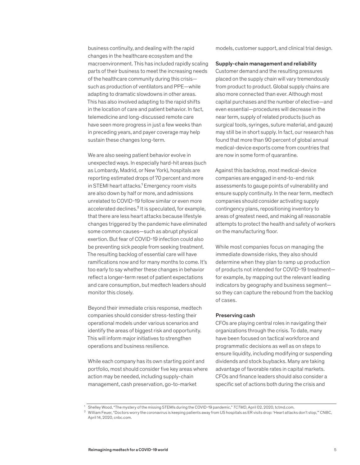business continuity, and dealing with the rapid changes in the healthcare ecosystem and the macroenvironment. This has included rapidly scaling parts of their business to meet the increasing needs of the healthcare community during this crisis such as production of ventilators and PPE—while adapting to dramatic slowdowns in other areas. This has also involved adapting to the rapid shifts in the location of care and patient behavior. In fact, telemedicine and long-discussed remote care have seen more progress in just a few weeks than in preceding years, and payer coverage may help sustain these changes long-term.

We are also seeing patient behavior evolve in unexpected ways. In especially hard-hit areas (such as Lombardy, Madrid, or New York), hospitals are reporting estimated drops of 70 percent and more in STEMI heart attacks.<sup>1</sup> Emergency room visits are also down by half or more, and admissions unrelated to COVID-19 follow similar or even more accelerated declines.² It is speculated, for example, that there are less heart attacks because lifestyle changes triggered by the pandemic have eliminated some common causes—such as abrupt physical exertion. But fear of COVID-19 infection could also be preventing sick people from seeking treatment. The resulting backlog of essential care will have ramifications now and for many months to come. It's too early to say whether these changes in behavior reflect a longer-term reset of patient expectations and care consumption, but medtech leaders should monitor this closely.

Beyond their immediate crisis response, medtech companies should consider stress-testing their operational models under various scenarios and identify the areas of biggest risk and opportunity. This will inform major initiatives to strengthen operations and business resilience.

While each company has its own starting point and portfolio, most should consider five key areas where action may be needed, including supply-chain management, cash preservation, go-to-market

models, customer support, and clinical trial design.

#### Supply-chain management and reliability

Customer demand and the resulting pressures placed on the supply chain will vary tremendously from product to product. Global supply chains are also more connected than ever. Although most capital purchases and the number of elective—and even essential—procedures will decrease in the near term, supply of related products (such as surgical tools, syringes, suture material, and gauze) may still be in short supply. In fact, our research has found that more than 90 percent of global annual medical-device exports come from countries that are now in some form of quarantine.

Against this backdrop, most medical-device companies are engaged in end-to-end risk assessments to gauge points of vulnerability and ensure supply continuity. In the near term, medtech companies should consider activating supply contingency plans, repositioning inventory to areas of greatest need, and making all reasonable attempts to protect the health and safety of workers on the manufacturing floor.

While most companies focus on managing the immediate downside risks, they also should determine when they plan to ramp up production of products not intended for COVID-19 treatment for example, by mapping out the relevant leading indicators by geography and business segment so they can capture the rebound from the backlog of cases.

#### Preserving cash

CFOs are playing central roles in navigating their organizations through the crisis. To date, many have been focused on tactical workforce and programmatic decisions as well as on steps to ensure liquidity, including modifying or suspending dividends and stock buybacks. Many are taking advantage of favorable rates in capital markets. CFOs and finance leaders should also consider a specific set of actions both during the crisis and

<sup>1</sup> Shelley Wood, "The mystery of the missing STEMIs during the COVID-19 pandemic," *TCTMD*, April 02, 2020, tctmd.com.

<sup>2</sup> William Feuer, "Doctors worry the coronavirus is keeping patients away from US hospitals as ER visits drop: 'Heart attacks don't stop,'" CNBC, April 14, 2020, cnbc.com.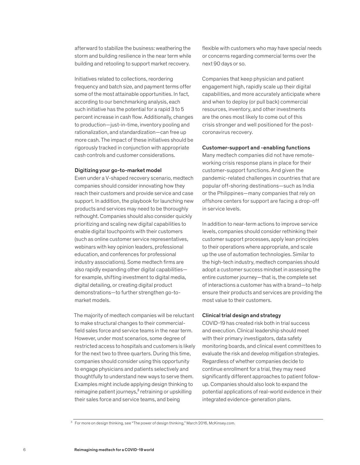afterward to stabilize the business: weathering the storm and building resilience in the near term while building and retooling to support market recovery.

Initiatives related to collections, reordering frequency and batch size, and payment terms offer some of the most attainable opportunities. In fact, according to our benchmarking analysis, each such initiative has the potential for a rapid 3 to 5 percent increase in cash flow. Additionally, changes to production—just-in-time, inventory pooling and rationalization, and standardization—can free up more cash. The impact of these initiatives should be rigorously tracked in conjunction with appropriate cash controls and customer considerations.

#### Digitizing your go-to-market model

Even under a V-shaped recovery scenario, medtech companies should consider innovating how they reach their customers and provide service and case support. In addition, the playbook for launching new products and services may need to be thoroughly rethought. Companies should also consider quickly prioritizing and scaling new digital capabilities to enable digital touchpoints with their customers (such as online customer service representatives, webinars with key opinion leaders, professional education, and conferences for professional industry associations). Some medtech firms are also rapidly expanding other digital capabilities for example, shifting investment to digital media, digital detailing, or creating digital product demonstrations—to further strengthen go-tomarket models.

The majority of medtech companies will be reluctant to make structural changes to their commercialfield sales force and service teams in the near term. However, under most scenarios, some degree of restricted access to hospitals and customers is likely for the next two to three quarters. During this time, companies should consider using this opportunity to engage physicians and patients selectively and thoughtfully to understand new ways to serve them. Examples might include applying design thinking to reimagine patient journeys,<sup>3</sup> retraining or upskilling their sales force and service teams, and being

flexible with customers who may have special needs or concerns regarding commercial terms over the next 90 days or so.

Companies that keep physician and patient engagement high, rapidly scale up their digital capabilities, and more accurately anticipate where and when to deploy (or pull back) commercial resources, inventory, and other investments are the ones most likely to come out of this crisis stronger and well positioned for the postcoronavirus recovery.

#### Customer-support and -enabling functions

Many medtech companies did not have remoteworking crisis response plans in place for their customer-support functions. And given the pandemic-related challenges in countries that are popular off-shoring destinations—such as India or the Philippines—many companies that rely on offshore centers for support are facing a drop-off in service levels.

In addition to near-term actions to improve service levels, companies should consider rethinking their customer support processes, apply lean principles to their operations where appropriate, and scale up the use of automation technologies. Similar to the high-tech industry, medtech companies should adopt a customer success mindset in assessing the entire customer journey—that is, the complete set of interactions a customer has with a brand—to help ensure their products and services are providing the most value to their customers.

#### Clinical trial design and strategy

COVID-19 has created risk both in trial success and execution. Clinical leadership should meet with their primary investigators, data safety monitoring boards, and clinical event committees to evaluate the risk and develop mitigation strategies. Regardless of whether companies decide to continue enrollment for a trial, they may need significantly different approaches to patient followup. Companies should also look to expand the potential applications of real-world evidence in their integrated evidence-generation plans.

<sup>&</sup>lt;sup>3</sup> For more on design thinking, see "The power of design thinking," March 2016, McKinsey.com.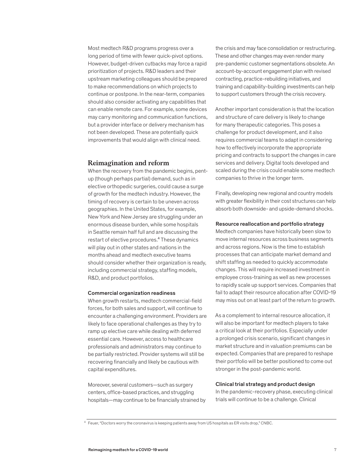Most medtech R&D programs progress over a long period of time with fewer quick-pivot options. However, budget-driven cutbacks may force a rapid prioritization of projects. R&D leaders and their upstream marketing colleagues should be prepared to make recommendations on which projects to continue or postpone. In the near-term, companies should also consider activating any capabilities that can enable remote care. For example, some devices may carry monitoring and communication functions, but a provider interface or delivery mechanism has not been developed. These are potentially quick improvements that would align with clinical need.

## **Reimagination and reform**

When the recovery from the pandemic begins, pentup (though perhaps partial) demand, such as in elective orthopedic surgeries, could cause a surge of growth for the medtech industry. However, the timing of recovery is certain to be uneven across geographies. In the United States, for example, New York and New Jersey are struggling under an enormous disease burden, while some hospitals in Seattle remain half full and are discussing the restart of elective procedures.<sup>4</sup> These dynamics will play out in other states and nations in the months ahead and medtech executive teams should consider whether their organization is ready, including commercial strategy, staffing models, R&D, and product portfolios.

#### Commercial organization readiness

When growth restarts, medtech commercial-field forces, for both sales and support, will continue to encounter a challenging environment. Providers are likely to face operational challenges as they try to ramp up elective care while dealing with deferred essential care. However, access to healthcare professionals and administrators may continue to be partially restricted. Provider systems will still be recovering financially and likely be cautious with capital expenditures.

Moreover, several customers—such as surgery centers, office-based practices, and struggling hospitals—may continue to be financially strained by

the crisis and may face consolidation or restructuring. These and other changes may even render many pre-pandemic customer segmentations obsolete. An account-by-account engagement plan with revised contracting, practice-rebuilding initiatives, and training and capability-building investments can help to support customers through the crisis recovery.

Another important consideration is that the location and structure of care delivery is likely to change for many therapeutic categories. This poses a challenge for product development, and it also requires commercial teams to adapt in considering how to effectively incorporate the appropriate pricing and contracts to support the changes in care services and delivery. Digital tools developed and scaled during the crisis could enable some medtech companies to thrive in the longer term.

Finally, developing new regional and country models with greater flexibility in their cost structures can help absorb both downside- and upside-demand shocks.

#### Resource reallocation and portfolio strategy

Medtech companies have historically been slow to move internal resources across business segments and across regions. Now is the time to establish processes that can anticipate market demand and shift staffing as needed to quickly accommodate changes. This will require increased investment in employee cross-training as well as new processes to rapidly scale up support services. Companies that fail to adapt their resource allocation after COVID-19 may miss out on at least part of the return to growth.

As a complement to internal resource allocation, it will also be important for medtech players to take a critical look at their portfolios. Especially under a prolonged crisis scenario, significant changes in market structure and in valuation premiums can be expected. Companies that are prepared to reshape their portfolio will be better positioned to come out stronger in the post-pandemic world.

## Clinical trial strategy and product design

In the pandemic-recovery phase, executing clinical trials will continue to be a challenge. Clinical

<sup>4</sup> Feuer, "Doctors worry the coronavirus is keeping patients away from US hospitals as ER visits drop," CNBC.